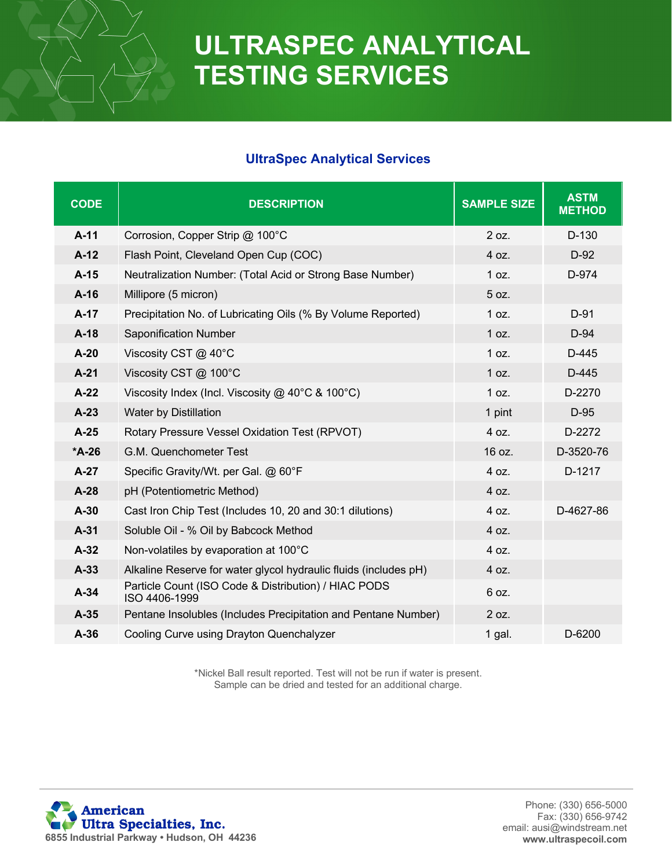## **ULTRASPEC ANALYTICAL TESTING SERVICES**

### **UltraSpec Analytical Services**

| <b>CODE</b> | <b>DESCRIPTION</b>                                                    | <b>SAMPLE SIZE</b> | <b>ASTM</b><br><b>METHOD</b> |
|-------------|-----------------------------------------------------------------------|--------------------|------------------------------|
| $A-11$      | Corrosion, Copper Strip @ 100°C                                       | 2 oz.              | D-130                        |
| $A-12$      | Flash Point, Cleveland Open Cup (COC)                                 | 4 oz.              | $D-92$                       |
| $A-15$      | Neutralization Number: (Total Acid or Strong Base Number)             | 1 oz.              | D-974                        |
| $A-16$      | Millipore (5 micron)                                                  | 5 oz.              |                              |
| $A-17$      | Precipitation No. of Lubricating Oils (% By Volume Reported)          | 1 oz.              | $D-91$                       |
| $A-18$      | Saponification Number                                                 | 1 oz.              | $D-94$                       |
| $A-20$      | Viscosity CST @ 40°C                                                  | 1 oz.              | $D-445$                      |
| $A-21$      | Viscosity CST @ 100°C                                                 | 1 oz.              | D-445                        |
| $A-22$      | Viscosity Index (Incl. Viscosity @ 40°C & 100°C)                      | 1 oz.              | D-2270                       |
| $A-23$      | Water by Distillation                                                 | 1 pint             | D-95                         |
| $A-25$      | Rotary Pressure Vessel Oxidation Test (RPVOT)                         | 4 oz.              | D-2272                       |
| $*A-26$     | G.M. Quenchometer Test                                                | 16 oz.             | D-3520-76                    |
| $A-27$      | Specific Gravity/Wt. per Gal. @ 60°F                                  | 4 oz.              | D-1217                       |
| $A-28$      | pH (Potentiometric Method)                                            | 4 oz.              |                              |
| $A-30$      | Cast Iron Chip Test (Includes 10, 20 and 30:1 dilutions)              | 4 oz.              | D-4627-86                    |
| $A-31$      | Soluble Oil - % Oil by Babcock Method                                 | 4 oz.              |                              |
| $A-32$      | Non-volatiles by evaporation at 100°C                                 | 4 oz.              |                              |
| $A-33$      | Alkaline Reserve for water glycol hydraulic fluids (includes pH)      | 4 oz.              |                              |
| $A-34$      | Particle Count (ISO Code & Distribution) / HIAC PODS<br>ISO 4406-1999 | 6 oz.              |                              |
| $A-35$      | Pentane Insolubles (Includes Precipitation and Pentane Number)        | 2 oz.              |                              |
| $A-36$      | Cooling Curve using Drayton Quenchalyzer                              | 1 gal.             | D-6200                       |

\*Nickel Ball result reported. Test will not be run if water is present. Sample can be dried and tested for an additional charge.

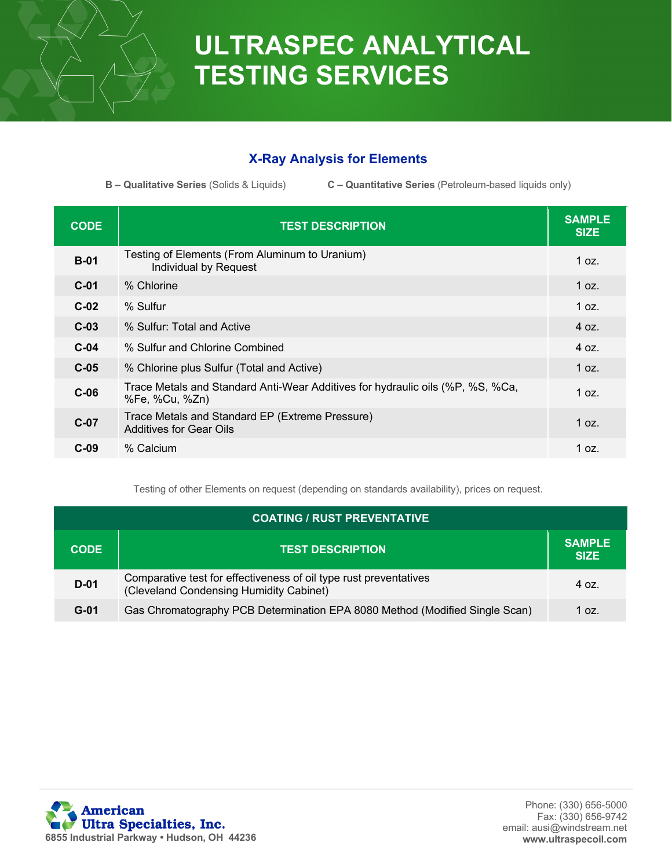

# **ULTRASPEC ANALYTICAL TESTING SERVICES**

### **X-Ray Analysis for Elements**

**B – Qualitative Series** (Solids & Liquids) **C – Quantitative Series** (Petroleum-based liquids only)

| <b>CODE</b> | <b>TEST DESCRIPTION</b>                                                                          | <b>SAMPLE</b><br><b>SIZE</b> |
|-------------|--------------------------------------------------------------------------------------------------|------------------------------|
| $B-01$      | Testing of Elements (From Aluminum to Uranium)<br>Individual by Request                          | 1 oz.                        |
| $C-01$      | % Chlorine                                                                                       | 1 oz.                        |
| $C-02$      | % Sulfur                                                                                         | 1 oz.                        |
| $C-03$      | % Sulfur: Total and Active                                                                       | 40z                          |
| $C-04$      | % Sulfur and Chlorine Combined                                                                   | 40z                          |
| $C-05$      | % Chlorine plus Sulfur (Total and Active)                                                        | 1 oz.                        |
| $C-06$      | Trace Metals and Standard Anti-Wear Additives for hydraulic oils (%P, %S, %Ca,<br>%Fe, %Cu, %Zn) | 1 $oz.$                      |
| $C-07$      | Trace Metals and Standard EP (Extreme Pressure)<br><b>Additives for Gear Oils</b>                | 1 oz.                        |
| $C-09$      | % Calcium                                                                                        | 1 oz.                        |

Testing of other Elements on request (depending on standards availability), prices on request.

| <b>COATING / RUST PREVENTATIVE</b> |                                                                                                              |                              |
|------------------------------------|--------------------------------------------------------------------------------------------------------------|------------------------------|
| <b>CODE</b>                        | <b>TEST DESCRIPTION</b>                                                                                      | <b>SAMPLE</b><br><b>SIZE</b> |
| $D-01$                             | Comparative test for effectiveness of oil type rust preventatives<br>(Cleveland Condensing Humidity Cabinet) | 4 oz.                        |
| $G-01$                             | Gas Chromatography PCB Determination EPA 8080 Method (Modified Single Scan)                                  | 1 oz.                        |